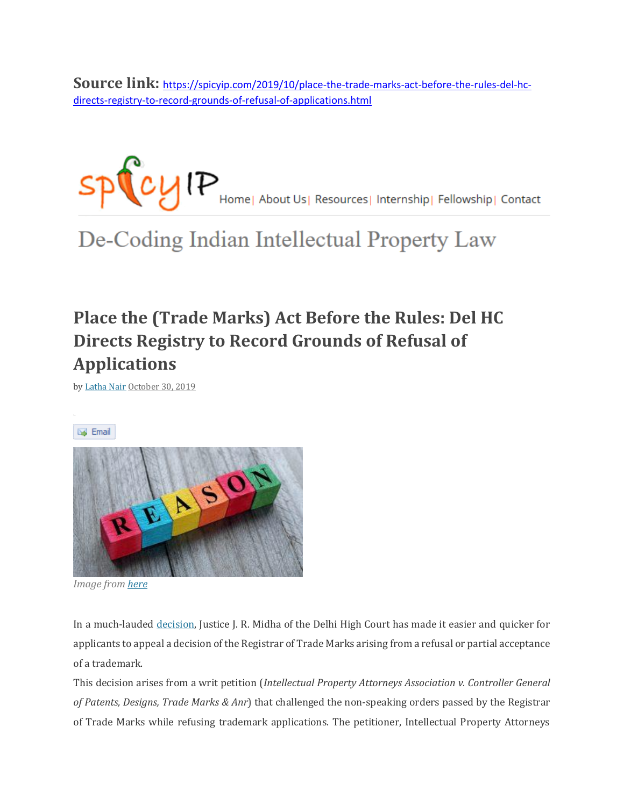**Source link:** [https://spicyip.com/2019/10/place-the-trade-marks-act-before-the-rules-del-hc](https://spicyip.com/2019/10/place-the-trade-marks-act-before-the-rules-del-hc-directs-registry-to-record-grounds-of-refusal-of-applications.html)[directs-registry-to-record-grounds-of-refusal-of-applications.html](https://spicyip.com/2019/10/place-the-trade-marks-act-before-the-rules-del-hc-directs-registry-to-record-grounds-of-refusal-of-applications.html)



De-Coding Indian Intellectual Property Law

## **Place the (Trade Marks) Act Before the Rules: Del HC Directs Registry to Record Grounds of Refusal of Applications**

by [Latha](https://spicyip.com/author/latha-nair) Nair [October](https://spicyip.com/2019/10/place-the-trade-marks-act-before-the-rules-del-hc-directs-registry-to-record-grounds-of-refusal-of-applications.html) 30, 2019

**Email** 



*Image fro[m here](https://www.communiteabooks.com/column/reasons)*

In a much-lauded [decision,](https://spicyip.com/wp-content/uploads/2019/10/IPAA-Order_20191018153805.pdf) Justice J. R. Midha of the Delhi High Court has made it easier and quicker for applicants to appeal a decision of the Registrar of Trade Marks arising from a refusal or partial acceptance of a trademark.

This decision arises from a writ petition (*Intellectual Property Attorneys Association v. Controller General of Patents, Designs, Trade Marks & Anr*) that challenged the non-speaking orders passed by the Registrar of Trade Marks while refusing trademark applications. The petitioner, Intellectual Property Attorneys